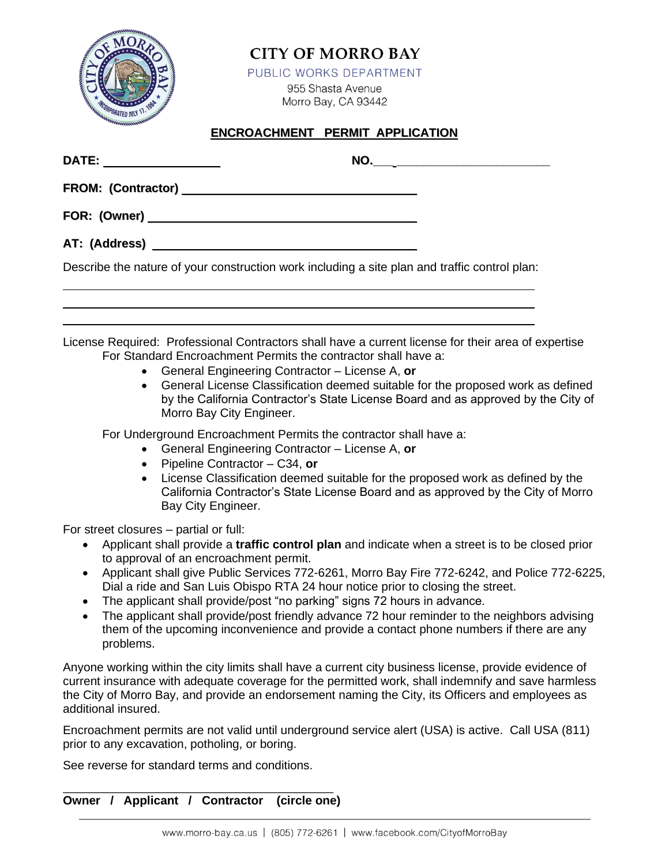

## **CITY OF MORRO BAY**

PUBLIC WORKS DEPARTMENT

955 Shasta Avenue Morro Bay, CA 93442

## **ENCROACHMENT PERMIT APPLICATION**

|                                                                                                                                                                       | NO. |
|-----------------------------------------------------------------------------------------------------------------------------------------------------------------------|-----|
|                                                                                                                                                                       |     |
|                                                                                                                                                                       |     |
|                                                                                                                                                                       |     |
| Describe the nature of your construction work including a site plan and traffic control plan:                                                                         |     |
|                                                                                                                                                                       |     |
|                                                                                                                                                                       |     |
| License Required: Professional Contractors shall have a current license for their area of expertise<br>For Standard Encroachment Permits the contractor shall have a: |     |

- General Engineering Contractor License A, **or**
- General License Classification deemed suitable for the proposed work as defined by the California Contractor's State License Board and as approved by the City of Morro Bay City Engineer.

For Underground Encroachment Permits the contractor shall have a:

- General Engineering Contractor License A, **or**
- Pipeline Contractor C34, **or**
- License Classification deemed suitable for the proposed work as defined by the California Contractor's State License Board and as approved by the City of Morro Bay City Engineer.

For street closures – partial or full:

- Applicant shall provide a **traffic control plan** and indicate when a street is to be closed prior to approval of an encroachment permit.
- Applicant shall give Public Services 772-6261, Morro Bay Fire 772-6242, and Police 772-6225, Dial a ride and San Luis Obispo RTA 24 hour notice prior to closing the street.
- The applicant shall provide/post "no parking" signs 72 hours in advance.
- The applicant shall provide/post friendly advance 72 hour reminder to the neighbors advising them of the upcoming inconvenience and provide a contact phone numbers if there are any problems.

Anyone working within the city limits shall have a current city business license, provide evidence of current insurance with adequate coverage for the permitted work, shall indemnify and save harmless the City of Morro Bay, and provide an endorsement naming the City, its Officers and employees as additional insured.

Encroachment permits are not valid until underground service alert (USA) is active. Call USA (811) prior to any excavation, potholing, or boring.

See reverse for standard terms and conditions.

**Owner / Applicant / Contractor (circle one)**